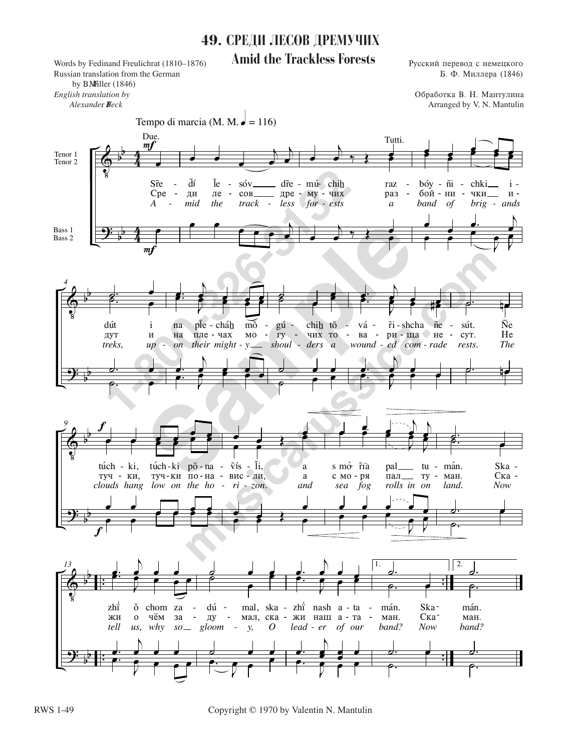## 49. СРЕДИ ЛЕСОВ ДРЕМУЧИХ **Amid the Trackless Forests**

Words by Fedinand Freulichrat (1810-1876) Russian translation from the German by BMFiller (1846) English translation by Alexander Beck

Русский перевод с немецкого Б. Ф. Миллера (1846)

Обработка В. Н. Мантулина Arranged by V. N. Mantulin